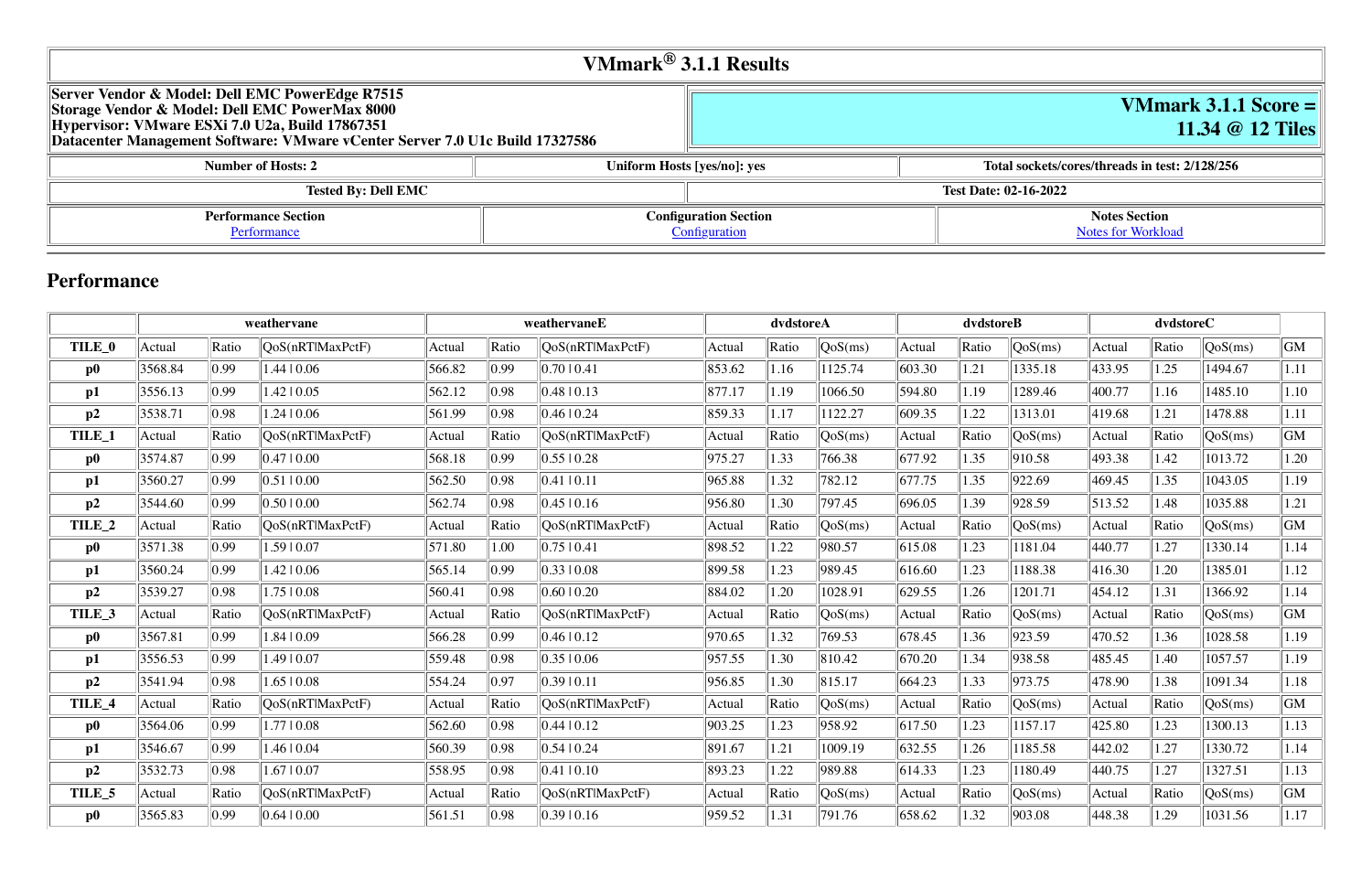# **VMmark 3.1.1 Score = 11.34 @ 12 Tiles**

|                                                                                                                                                                                                                                        | VMmark $^{\circledR}$ 3.1.1 Results |                                                |
|----------------------------------------------------------------------------------------------------------------------------------------------------------------------------------------------------------------------------------------|-------------------------------------|------------------------------------------------|
| Server Vendor & Model: Dell EMC PowerEdge R7515<br>  Storage Vendor & Model: Dell EMC PowerMax 8000<br>Hypervisor: VMware ESXi 7.0 U2a, Build 17867351<br>Datacenter Management Software: VMware vCenter Server 7.0 U1c Build 17327586 |                                     | VMmark 3.1.<br>11.34 $@$                       |
| <b>Number of Hosts: 2</b>                                                                                                                                                                                                              | Uniform Hosts [yes/no]: yes         | Total sockets/cores/threads in test: 2/128/256 |

| - , ------ - - - - -- - - - - - - |                            |  |                              | _ _ _ _ _ _ _ _ _ _ _ _ _ |
|-----------------------------------|----------------------------|--|------------------------------|---------------------------|
|                                   | <b>Tested By: Dell EMC</b> |  | <b>Test Date: 02-16-2022</b> |                           |
| <b>Performance Section</b>        |                            |  | <b>Configuration Section</b> |                           |
| Pertormance                       |                            |  | Configuration                |                           |

#### **Notes Section** [Notes for Workload](file:///Users/griderr/Documents/ReviewPanel/0405/other-updated-disclosures/2022-02-23-DellEMC-PowerEdge-R7515.html#NotesForWorkload)

# **Performance**

|                   | weathervane |       | weathervaneE     |        |                | dvdstoreA        |        | dvdstoreB |         |                  | dvdstoreC |         |        |       |         |      |
|-------------------|-------------|-------|------------------|--------|----------------|------------------|--------|-----------|---------|------------------|-----------|---------|--------|-------|---------|------|
| TILE_0            | Actual      | Ratio | OoS(nRTlMaxPctF) | Actual | Ratio          | QoS(nRTIMaxPctF) | Actual | Ratio     | QoS(ms) | Actual           | Ratio     | QoS(ms) | Actual | Ratio | QoS(ms) | GM   |
| $\bf p0$          | 3568.84     | 0.99  | 1.44   0.06      | 566.82 | 0.99           | 0.7010.41        | 853.62 | 1.16      | 1125.74 | 603.30           | 1.21      | 1335.18 | 433.95 | 1.25  | 1494.67 | 1.11 |
| p1                | 3556.13     | 0.99  | 1.42   0.05      | 562.12 | 0.98           | 0.48 10.13       | 877.17 | 1.19      | 1066.50 | 594.80           | 1.19      | 1289.46 | 400.77 | 1.16  | 1485.10 | 1.10 |
| p2                | 3538.71     | 0.98  | 1.24   0.06      | 561.99 | 0.98           | $0.46 \mid 0.24$ | 859.33 | 1.17      | 1122.27 | 609.35           | 1.22      | 1313.01 | 419.68 | 1.21  | 1478.88 | 1.11 |
| TILE_1            | Actual      | Ratio | QoS(nRTlMaxPctF) | Actual | Ratio          | QoS(nRT MaxPctF) | Actual | Ratio     | QoS(ms) | Actual           | Ratio     | QoS(ms) | Actual | Ratio | QoS(ms) | GM   |
| $\bf p0$          | 3574.87     | 0.99  | 0.4710.00        | 568.18 | $ 0.99\rangle$ | 0.5510.28        | 975.27 | 1.33      | 766.38  | $ 677.92\rangle$ | 1.35      | 910.58  | 493.38 | 1.42  | 1013.72 | 1.20 |
| p1                | 3560.27     | 0.99  | 0.5110.00        | 562.50 | 0.98           | 0.41 0.11        | 965.88 | 1.32      | 782.12  | 677.75           | 1.35      | 922.69  | 469.45 | 1.35  | 1043.05 | 1.19 |
| p2                | 3544.60     | 0.99  | 0.5010.00        | 562.74 | 0.98           | $0.45 \pm 0.16$  | 956.80 | 1.30      | 797.45  | 696.05           | 1.39      | 928.59  | 513.52 | 1.48  | 1035.88 | 1.21 |
| TILE <sub>2</sub> | Actual      | Ratio | QoS(nRTlMaxPctF) | Actual | Ratio          | QoS(nRT MaxPctF) | Actual | Ratio     | QoS(ms) | Actual           | Ratio     | QoS(ms) | Actual | Ratio | QoS(ms) | GM   |
| $\bf p0$          | 3571.38     | 0.99  | 1.59   0.07      | 571.80 | 1.00           | 0.75 0.41        | 898.52 | 1.22      | 980.57  | 615.08           | 1.23      | 1181.04 | 440.77 | 1.27  | 1330.14 | 1.14 |
| p1                | 3560.24     | 0.99  | $1.42 \mid 0.06$ | 565.14 | 0.99           | $0.33 \pm 0.08$  | 899.58 | 1.23      | 989.45  | 616.60           | 1.23      | 1188.38 | 416.30 | 1.20  | 1385.01 | 1.12 |
| p2                | 3539.27     | 0.98  | $1.75 \mid 0.08$ | 560.41 | 0.98           | 0.6010.20        | 884.02 | 1.20      | 1028.91 | 629.55           | 1.26      | 1201.71 | 454.12 | 1.31  | 1366.92 | 1.14 |
| TILE_3            | Actual      | Ratio | QoS(nRTlMaxPctF) | Actual | Ratio          | QoS(nRT MaxPctF) | Actual | Ratio     | QoS(ms) | Actual           | Ratio     | QoS(ms) | Actual | Ratio | QoS(ms) | GM   |
| $\bf p0$          | 3567.81     | 0.99  | 1.84   0.09      | 566.28 | 0.99           | 0.4610.12        | 970.65 | 1.32      | 769.53  | 678.45           | 1.36      | 923.59  | 470.52 | 1.36  | 1028.58 | 1.19 |
| p1                | 3556.53     | 0.99  | 1.49   0.07      | 559.48 | 0.98           | $0.35 \pm 0.06$  | 957.55 | 1.30      | 810.42  | 670.20           | 1.34      | 938.58  | 485.45 | 1.40  | 1057.57 | 1.19 |
| p2                | 3541.94     | 0.98  | $1.65 \mid 0.08$ | 554.24 | 0.97           | 0.39 0.11        | 956.85 | 1.30      | 815.17  | 664.23           | 1.33      | 973.75  | 478.90 | 1.38  | 1091.34 | 1.18 |
| TILE_4            | Actual      | Ratio | QoS(nRTlMaxPctF) | Actual | Ratio          | QoS(nRTlMaxPctF) | Actual | Ratio     | QoS(ms) | Actual           | Ratio     | QoS(ms) | Actual | Ratio | QoS(ms) | GM   |
| $\bf p0$          | 3564.06     | 0.99  | 1.7710.08        | 562.60 | 0.98           | 0.44 10.12       | 903.25 | 1.23      | 958.92  | 617.50           | 1.23      | 1157.17 | 425.80 | 1.23  | 1300.13 | 1.13 |
| p1                | 3546.67     | 0.99  | 1.46   0.04      | 560.39 | 0.98           | $0.54 \pm 0.24$  | 891.67 | 1.21      | 1009.19 | 632.55           | 1.26      | 1185.58 | 442.02 | 1.27  | 1330.72 | 1.14 |
| p2                | 3532.73     | 0.98  | 1.67   0.07      | 558.95 | 0.98           | 0.41  0.10       | 893.23 | 1.22      | 989.88  | 614.33           | 1.23      | 1180.49 | 440.75 | 1.27  | 1327.51 | 1.13 |
| TILE <sub>5</sub> | Actual      | Ratio | QoS(nRTlMaxPctF) | Actual | Ratio          | QoS(nRTlMaxPctF) | Actual | Ratio     | QoS(ms) | Actual           | Ratio     | QoS(ms) | Actual | Ratio | QoS(ms) | GM   |
| $\bf p0$          | 3565.83     | 0.99  | 0.6410.00        | 561.51 | 0.98           | 0.3910.16        | 959.52 | 1.31      | 791.76  | 658.62           | 1.32      | 903.08  | 448.38 | 1.29  | 1031.56 | 1.17 |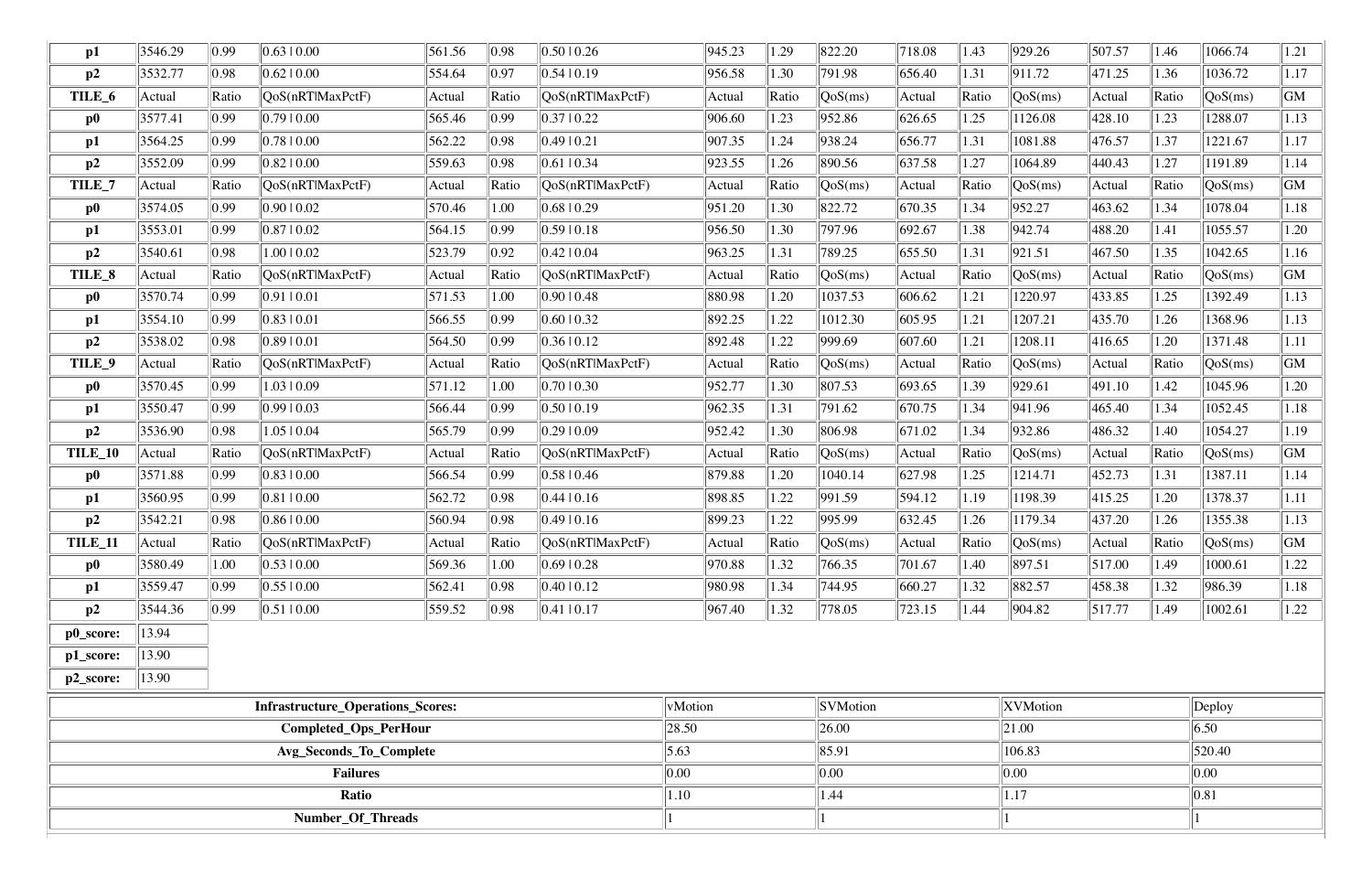| $\mathbf{p1}$  | 3546.29 | 0.99           | $0.63 \mid 0.00$                         | 561.56 | 0.98           | 0.5010.26                | 945.23  | 1.29  | 822.20                         | 718.08 | 1.43  | 929.26           | 507.57 | 1.46       | 1066.74                        | 1.21   |
|----------------|---------|----------------|------------------------------------------|--------|----------------|--------------------------|---------|-------|--------------------------------|--------|-------|------------------|--------|------------|--------------------------------|--------|
| p2             | 3532.77 | 0.98           | $0.62 \mid 0.00$                         | 554.64 | 0.97           | 0.54 0.19                | 956.58  | 1.30  | 791.98                         | 656.40 | 1.31  | 911.72           | 471.25 | 1.36       | 1036.72                        | 1.17   |
| TILE_6         | Actual  | Ratio          | QoS(nRTlMaxPctF)                         | Actual | Ratio          | QoS(nRTlMaxPctF)         | Actual  | Ratio | QoS(ms)                        | Actual | Ratio | QoS(ms)          | Actual | Ratio      | $\sqrt{\text{QoS}(\text{ms})}$ | GM     |
| $\bf p0$       | 3577.41 | 0.99           | 0.7910.00                                | 565.46 | 0.99           | 0.3710.22                | 906.60  | 1.23  | 952.86                         | 626.65 | 1.25  | 1126.08          | 428.10 | 1.23       | 1288.07                        | 1.13   |
| p1             | 3564.25 | 0.99           | 0.7810.00                                | 562.22 | 0.98           | 0.49 0.21                | 907.35  | 1.24  | 938.24                         | 656.77 | 1.31  | 1081.88          | 476.57 | 1.37       | 1221.67                        | 1.17   |
| p2             | 3552.09 | 0.99           | $0.82 \mid 0.00$                         | 559.63 | 0.98           | $ 0.61 $ 0.34            | 923.55  | 1.26  | 890.56                         | 637.58 | 1.27  | 1064.89          | 440.43 | 1.27       | 1191.89                        | 1.14   |
| TILE_7         | Actual  | Ratio          | QoS(nRTlMaxPctF)                         | Actual | Ratio          | QoS(nRTlMaxPctF)         | Actual  | Ratio | $\sqrt{\text{QoS}(\text{ms})}$ | Actual | Ratio | QoS(ms)          | Actual | Ratio      | QoS(ms)                        | GM     |
| $\bf p0$       | 3574.05 | 0.99           | 0.9010.02                                | 570.46 | 1.00           | 0.68 0.29                | 951.20  | 1.30  | 822.72                         | 670.35 | 1.34  | 952.27           | 463.62 | 1.34       | 1078.04                        | 1.18   |
| $\mathbf{p1}$  | 3553.01 | 0.99           | 0.8710.02                                | 564.15 | $ 0.99\rangle$ | 0.59 0.18                | 956.50  | 1.30  | 797.96                         | 692.67 | 1.38  | 942.74           | 488.20 | 1.41       | 1055.57                        | 1.20   |
| p2             | 3540.61 | 0.98           | 1.00   0.02                              | 523.79 | $ 0.92\rangle$ | 0.42  0.04               | 963.25  | 1.31  | 789.25                         | 655.50 | 1.31  | 921.51           | 467.50 | 1.35       | 1042.65                        | 1.16   |
| TILE_8         | Actual  | Ratio          | QoS(nRTlMaxPctF)                         | Actual | Ratio          | QoS(nRTlMaxPctF)         | Actual  | Ratio | QoS(ms)                        | Actual | Ratio | QoS(ms)          | Actual | Ratio      | QoS(ms)                        | GM     |
| $\bf p0$       | 3570.74 | 0.99           | 0.91 0.01                                | 571.53 | 1.00           | 0.9010.48                | 880.98  | 1.20  | 1037.53                        | 606.62 | 1.21  | 1220.97          | 433.85 | 1.25       | 1392.49                        | 1.13   |
| $\mathbf{p1}$  | 3554.10 | 0.99           | 0.8310.01                                | 566.55 | $ 0.99\rangle$ | 0.6010.32                | 892.25  | 1.22  | 1012.30                        | 605.95 | 1.21  | 1207.21          | 435.70 | 1.26       | 1368.96                        | 1.13   |
| p2             | 3538.02 | 0.98           | 0.8910.01                                | 564.50 | 0.99           | 0.36 0.12                | 892.48  | .22   | 999.69                         | 607.60 | 1.21  | 1208.11          | 416.65 | 1.20       | 1371.48                        | $1.11$ |
| TILE_9         | Actual  | Ratio          | QoS(nRTlMaxPctF)                         | Actual | Ratio          | QoS(nRT MaxPctF)         | Actual  | Ratio | QoS(ms)                        | Actual | Ratio | QoS(ms)          | Actual | Ratio      | QoS(ms)                        | GM     |
| $\bf p0$       | 3570.45 | 0.99           | 1.03   0.09                              | 571.12 | 1.00           | 0.7010.30                | 952.77  | 1.30  | 807.53                         | 693.65 | 1.39  | 929.61           | 491.10 | 1.42       | 1045.96                        | 1.20   |
| p1             | 3550.47 | 0.99           | 0.99 0.03                                | 566.44 | 0.99           | 0.50 0.19                | 962.35  | 1.31  | 791.62                         | 670.75 | 1.34  | 941.96           | 465.40 | 1.34       | 1052.45                        | 1.18   |
| p2             | 3536.90 | 0.98           | 1.0510.04                                | 565.79 | $ 0.99\rangle$ | 0.29 0.09                | 952.42  | 1.30  | 806.98                         | 671.02 | 1.34  | 932.86           | 486.32 | 1.40       | 1054.27                        | 1.19   |
| TILE_10        | Actual  | Ratio          | QoS(nRTlMaxPctF)                         | Actual | Ratio          | QoS(nRTlMaxPctF)         | Actual  | Ratio | $\sqrt{\text{QoS}(\text{ms})}$ | Actual | Ratio | QoS(ms)          | Actual | Ratio      | QoS(ms)                        | GM     |
| $\bf p0$       | 3571.88 | 0.99           | $0.83 \pm 0.00$                          | 566.54 | 0.99           | 0.58 0.46                | 879.88  | 1.20  | 1040.14                        | 627.98 | 1.25  | 1214.71          | 452.73 | 1.31       | 1387.11                        | 1.14   |
| p1             | 3560.95 | 0.99           | 0.8110.00                                | 562.72 | 0.98           | 0.44  0.16               | 898.85  | 1.22  | 991.59                         | 594.12 | 1.19  | 1198.39          | 415.25 | 1.20       | 1378.37                        | 1.11   |
| p2             | 3542.21 | 0.98           | $0.86 \mid 0.00$                         | 560.94 | 0.98           | 0.49 0.16                | 899.23  | .22   | 995.99                         | 632.45 | 1.26  | 1179.34          | 437.20 | 1.26       | 1355.38                        | 1.13   |
| <b>TILE_11</b> | Actual  | Ratio          | $\sqrt{QoS(nRTIMaxPctF)}$                | Actual | $\ $ Ratio     | $\sqrt{QoS(nRT)MaxPctF}$ | Actual  | Ratio | QoS(ms)                        | Actual | Ratio | $\sqrt{QoS(ms)}$ | Actual | $\ $ Ratio | $\sqrt{QoS(ms)}$               | GM     |
| $\bf p0$       | 3580.49 | 1.00           | 0.53 0.00                                | 569.36 | 1.00           | 0.69 0.28                | 970.88  | 1.32  | 766.35                         | 701.67 | 1.40  | 897.51           | 517.00 | 1.49       | 1000.61                        | 1.22   |
| p1             | 3559.47 | 0.99           | 0.55 0.00                                | 562.41 | 0.98           | 0.4010.12                | 980.98  | 1.34  | 744.95                         | 660.27 | 1.32  | 882.57           | 458.38 | 1.32       | 986.39                         | 1.18   |
| p2             | 3544.36 | $ 0.99\rangle$ | 0.51 0.00                                | 559.52 | 0.98           | $\ 0.41\ 0.17$           | 967.40  | 1.32  | 778.05                         | 723.15 | 1.44  | 904.82           | 517.77 | 1.49       | 1002.61                        | 1.22   |
| p0_score:      | 13.94   |                |                                          |        |                |                          |         |       |                                |        |       |                  |        |            |                                |        |
| p1_score:      | 13.90   |                |                                          |        |                |                          |         |       |                                |        |       |                  |        |            |                                |        |
| p2_score:      | 13.90   |                |                                          |        |                |                          |         |       |                                |        |       |                  |        |            |                                |        |
|                |         |                | <b>Infrastructure Operations Scores:</b> |        |                |                          | vMotion |       | <i>SVMotion</i>                |        |       | XVMotion         |        |            | $\ $ Deploy                    |        |

| <b>Infrastructure_Operations_Scores:</b> | $\ $ vMotion | <b>SVMotion</b> | XVMotion           | $\ $ Deploy      |
|------------------------------------------|--------------|-----------------|--------------------|------------------|
| <b>Completed_Ops_PerHour</b>             | 28.50        | 26.00           | 21.00              | 6.50             |
| Avg_Seconds_To_Complete                  | 5.63         | $\ 85.91$       | $\parallel$ 106.83 | 520.40           |
| <b>Failures</b>                          | $\ 0.00$     | 0.00            | $\vert 0.00 \vert$ | $\ 0.00\ $       |
| Ratio                                    | 1.10         | 1.44            | 1.17               | $\parallel$ 0.81 |
| Number_Of_Threads                        |              |                 |                    |                  |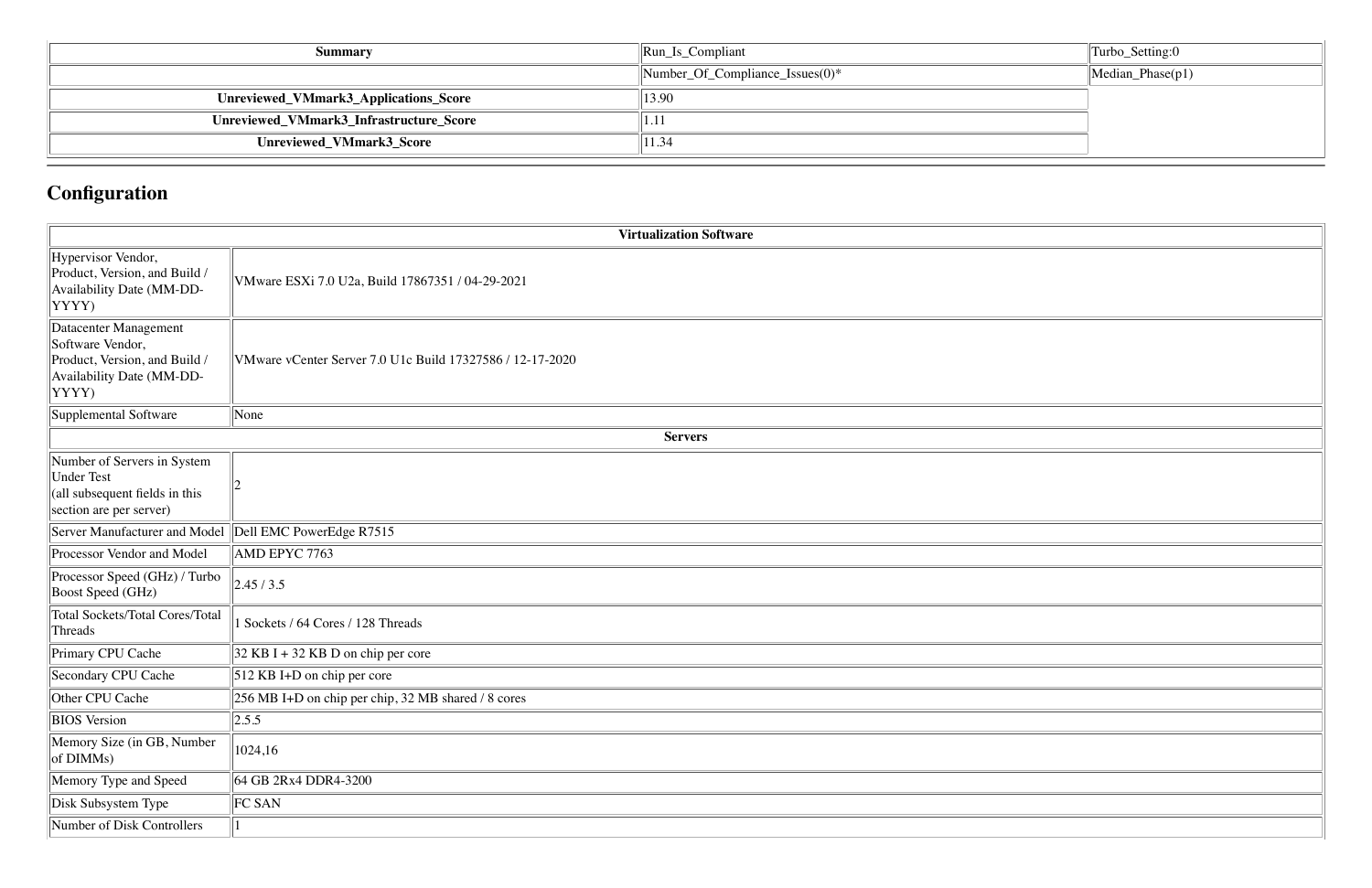| Summary                                 | $\left\Vert \text{Run}\right\Vert$ Compliant | Turbo_Setting:0          |
|-----------------------------------------|----------------------------------------------|--------------------------|
|                                         | $\mathbb{N}$ umber_Of_Compliance_Issues(0)*  | $\vert$ Median_Phase(p1) |
| Unreviewed_VMmark3_Applications_Score   | 13.90                                        |                          |
| Unreviewed_VMmark3_Infrastructure_Score | 1.11                                         |                          |
| Unreviewed_VMmark3_Score                | 11.34                                        |                          |

# **Configuration**

|                                                                                                                         | <b>Virtualization Software</b>                            |
|-------------------------------------------------------------------------------------------------------------------------|-----------------------------------------------------------|
| Hypervisor Vendor,<br>Product, Version, and Build /<br>Availability Date (MM-DD-<br>YYYY)                               | VMware ESXi 7.0 U2a, Build 17867351 / 04-29-2021          |
| Datacenter Management<br>Software Vendor,<br>Product, Version, and Build /<br>Availability Date (MM-DD-<br>YYYY)        | VMware vCenter Server 7.0 U1c Build 17327586 / 12-17-2020 |
| Supplemental Software                                                                                                   | None                                                      |
|                                                                                                                         | <b>Servers</b>                                            |
| Number of Servers in System<br><b>Under Test</b><br>$\alpha$  (all subsequent fields in this<br>section are per server) |                                                           |
| Server Manufacturer and Model                                                                                           | Dell EMC PowerEdge R7515                                  |
| Processor Vendor and Model                                                                                              | AMD EPYC 7763                                             |
| Processor Speed (GHz) / Turbo<br><b>Boost Speed (GHz)</b>                                                               | 2.45/3.5                                                  |
| <b>Total Sockets/Total Cores/Total</b><br>Threads                                                                       | 1 Sockets / 64 Cores / 128 Threads                        |
| Primary CPU Cache                                                                                                       | $32$ KB I + 32 KB D on chip per core                      |
| Secondary CPU Cache                                                                                                     | 512 KB I+D on chip per core                               |
| Other CPU Cache                                                                                                         | 256 MB I+D on chip per chip, 32 MB shared / 8 cores       |
| <b>BIOS</b> Version                                                                                                     | 2.5.5                                                     |
| Memory Size (in GB, Number<br>of DIMMs)                                                                                 | 1024,16                                                   |
| Memory Type and Speed                                                                                                   | 64 GB 2Rx4 DDR4-3200                                      |
| Disk Subsystem Type                                                                                                     | FC SAN                                                    |
| Number of Disk Controllers                                                                                              |                                                           |

| Turbo_Setting:0  |
|------------------|
| Median_Phase(p1) |
|                  |
|                  |
|                  |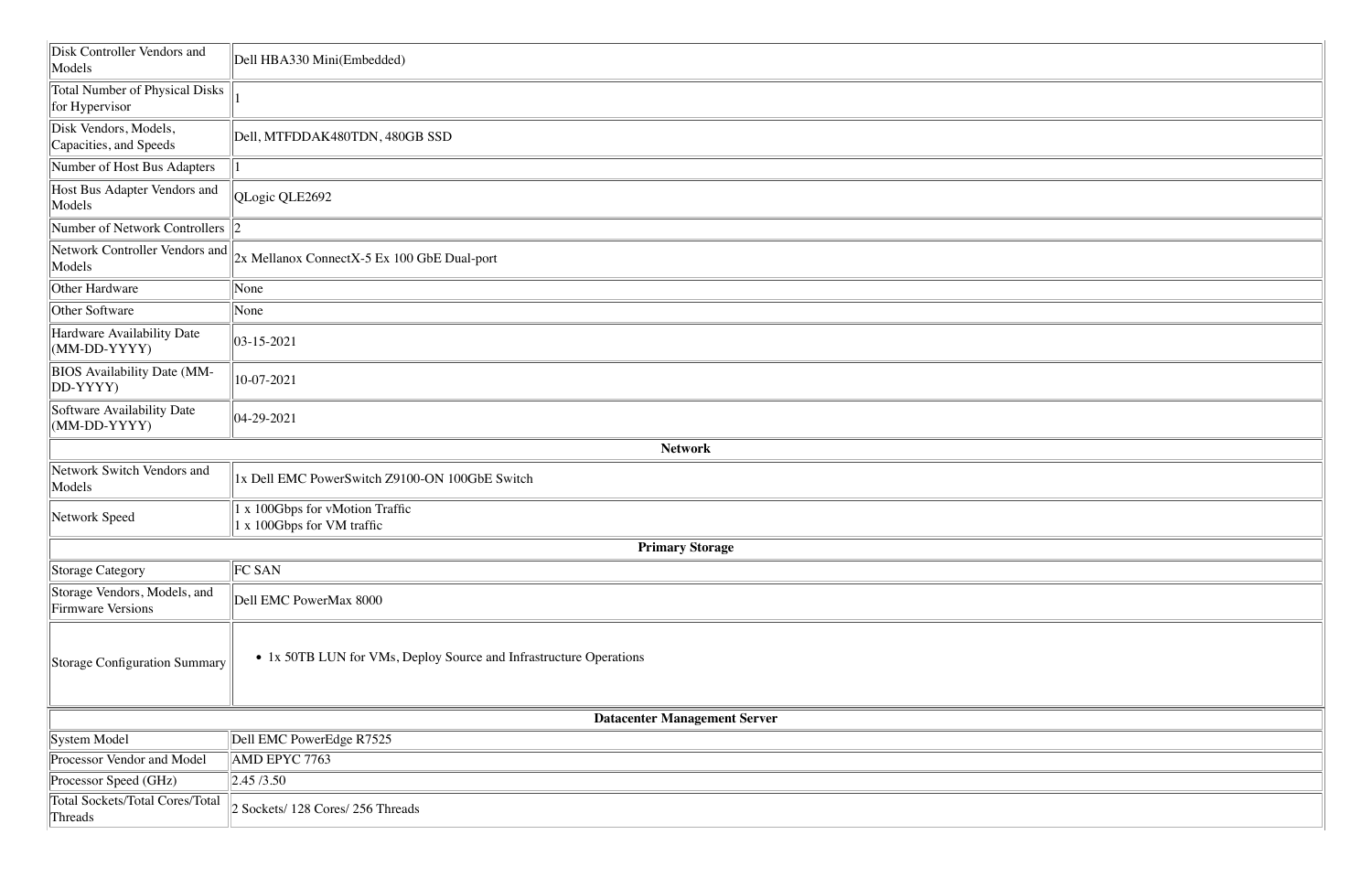| Disk Controller Vendors and<br>Models                   | Dell HBA330 Mini(Embedded)                                         |
|---------------------------------------------------------|--------------------------------------------------------------------|
| <b>Total Number of Physical Disks</b><br>for Hypervisor |                                                                    |
| Disk Vendors, Models,<br>Capacities, and Speeds         | Dell, MTFDDAK480TDN, 480GB SSD                                     |
| Number of Host Bus Adapters                             |                                                                    |
| Host Bus Adapter Vendors and<br>Models                  | QLogic QLE2692                                                     |
| Number of Network Controllers $\ 2\ $                   |                                                                    |
| Network Controller Vendors and<br>Models                | 2x Mellanox ConnectX-5 Ex 100 GbE Dual-port                        |
| Other Hardware                                          | None                                                               |
| Other Software                                          | None                                                               |
| Hardware Availability Date<br>$(MM-DD-YYYY)$            | $ 03 - 15 - 2021$                                                  |
| <b>BIOS</b> Availability Date (MM-<br>$ DD-YYYY$        | 10-07-2021                                                         |
| Software Availability Date<br>$(MM-DD-YYYY)$            | 04-29-2021                                                         |
|                                                         | <b>Network</b>                                                     |
| Network Switch Vendors and<br>Models                    | 1x Dell EMC PowerSwitch Z9100-ON 100GbE Switch                     |
| Network Speed                                           | 1 x 100Gbps for vMotion Traffic<br>1 x 100Gbps for VM traffic      |
|                                                         | <b>Primary Storage</b>                                             |
| Storage Category                                        | FC SAN                                                             |
| Storage Vendors, Models, and<br>Firmware Versions       | Dell EMC PowerMax 8000                                             |
| Storage Configuration Summary                           | • 1x 50TB LUN for VMs, Deploy Source and Infrastructure Operations |
|                                                         | <b>Datacenter Management Server</b>                                |
| System Model                                            | Dell EMC PowerEdge R7525                                           |
| Processor Vendor and Model                              | AMD EPYC 7763                                                      |
| Processor Speed (GHz)                                   | $\vert 2.45/3.50 \vert$                                            |
| Total Sockets/Total Cores/Total<br>Threads              | 2 Sockets/ 128 Cores/ 256 Threads                                  |

| <u> 1989 - Johann Stoff, deutscher Stoff, der Stoff, der Stoff, der Stoff, der Stoff, der Stoff, der Stoff, der S</u><br>-- |  |
|-----------------------------------------------------------------------------------------------------------------------------|--|
|                                                                                                                             |  |
|                                                                                                                             |  |
|                                                                                                                             |  |
|                                                                                                                             |  |
|                                                                                                                             |  |
|                                                                                                                             |  |
|                                                                                                                             |  |
|                                                                                                                             |  |
|                                                                                                                             |  |
|                                                                                                                             |  |
|                                                                                                                             |  |
|                                                                                                                             |  |
|                                                                                                                             |  |
|                                                                                                                             |  |
|                                                                                                                             |  |
|                                                                                                                             |  |
|                                                                                                                             |  |
|                                                                                                                             |  |
|                                                                                                                             |  |
|                                                                                                                             |  |
|                                                                                                                             |  |
|                                                                                                                             |  |
|                                                                                                                             |  |
|                                                                                                                             |  |
|                                                                                                                             |  |
|                                                                                                                             |  |
|                                                                                                                             |  |
|                                                                                                                             |  |
|                                                                                                                             |  |
|                                                                                                                             |  |
|                                                                                                                             |  |
|                                                                                                                             |  |
|                                                                                                                             |  |
|                                                                                                                             |  |
|                                                                                                                             |  |
|                                                                                                                             |  |
|                                                                                                                             |  |
|                                                                                                                             |  |
|                                                                                                                             |  |
|                                                                                                                             |  |
|                                                                                                                             |  |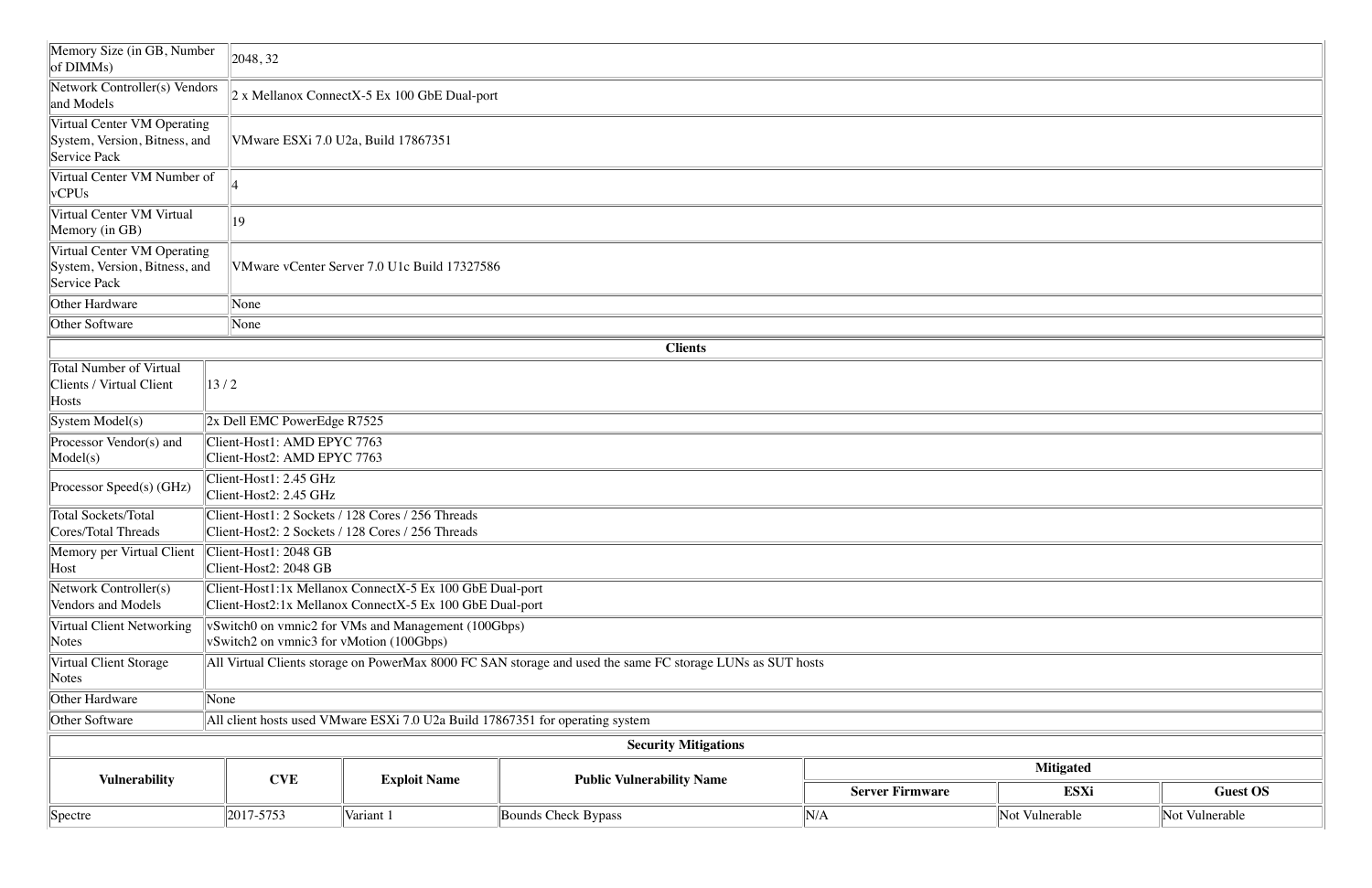| Memory Size (in GB, Number<br>$\vert$ of DIMMs)                              | 2048, 32                                                                                                   |                                                                                                                      |                                  |                        |                  |                |  |  |  |  |  |
|------------------------------------------------------------------------------|------------------------------------------------------------------------------------------------------------|----------------------------------------------------------------------------------------------------------------------|----------------------------------|------------------------|------------------|----------------|--|--|--|--|--|
| Network Controller(s) Vendors<br>and Models                                  |                                                                                                            | $2x$ Mellanox ConnectX-5 Ex 100 GbE Dual-port                                                                        |                                  |                        |                  |                |  |  |  |  |  |
| Virtual Center VM Operating<br>System, Version, Bitness, and<br>Service Pack | VMware ESXi 7.0 U2a, Build 17867351                                                                        |                                                                                                                      |                                  |                        |                  |                |  |  |  |  |  |
| Virtual Center VM Number of<br>vCPUs                                         |                                                                                                            |                                                                                                                      |                                  |                        |                  |                |  |  |  |  |  |
| Virtual Center VM Virtual<br>Memory (in GB)                                  | 19                                                                                                         |                                                                                                                      |                                  |                        |                  |                |  |  |  |  |  |
| Virtual Center VM Operating<br>System, Version, Bitness, and<br>Service Pack |                                                                                                            | VMware vCenter Server 7.0 U1c Build 17327586                                                                         |                                  |                        |                  |                |  |  |  |  |  |
| Other Hardware                                                               | None                                                                                                       |                                                                                                                      |                                  |                        |                  |                |  |  |  |  |  |
| Other Software                                                               | None                                                                                                       |                                                                                                                      |                                  |                        |                  |                |  |  |  |  |  |
|                                                                              |                                                                                                            |                                                                                                                      | <b>Clients</b>                   |                        |                  |                |  |  |  |  |  |
| Total Number of Virtual<br>Clients / Virtual Client<br>Hosts                 | $\left 13/2\right $                                                                                        |                                                                                                                      |                                  |                        |                  |                |  |  |  |  |  |
| System Model(s)                                                              | $\vert$ 2x Dell EMC PowerEdge R7525                                                                        |                                                                                                                      |                                  |                        |                  |                |  |  |  |  |  |
| Processor Vendor(s) and<br>Model(s)                                          | Client-Host1: AMD EPYC 7763<br>Client-Host2: AMD EPYC 7763                                                 |                                                                                                                      |                                  |                        |                  |                |  |  |  |  |  |
| Processor Speed(s) (GHz)                                                     | Client-Host1: 2.45 GHz<br>Client-Host2: 2.45 GHz                                                           |                                                                                                                      |                                  |                        |                  |                |  |  |  |  |  |
| Total Sockets/Total<br>Cores/Total Threads                                   |                                                                                                            | Client-Host1: 2 Sockets / 128 Cores / 256 Threads<br>Client-Host2: 2 Sockets / 128 Cores / 256 Threads               |                                  |                        |                  |                |  |  |  |  |  |
| Memory per Virtual Client<br>Host                                            | $ $ Client-Host1: 2048 GB<br>Client-Host2: 2048 GB                                                         |                                                                                                                      |                                  |                        |                  |                |  |  |  |  |  |
| Network Controller(s)<br>Vendors and Models                                  |                                                                                                            | Client-Host1:1x Mellanox ConnectX-5 Ex 100 GbE Dual-port<br>Client-Host2:1x Mellanox ConnectX-5 Ex 100 GbE Dual-port |                                  |                        |                  |                |  |  |  |  |  |
| Virtual Client Networking<br>Notes                                           | vSwitch0 on vmnic2 for VMs and Management (100Gbps)<br>vSwitch2 on vmnic3 for vMotion (100Gbps)            |                                                                                                                      |                                  |                        |                  |                |  |  |  |  |  |
| Virtual Client Storage<br>Notes                                              | All Virtual Clients storage on PowerMax 8000 FC SAN storage and used the same FC storage LUNs as SUT hosts |                                                                                                                      |                                  |                        |                  |                |  |  |  |  |  |
| Other Hardware                                                               | None                                                                                                       |                                                                                                                      |                                  |                        |                  |                |  |  |  |  |  |
| Other Software                                                               |                                                                                                            | All client hosts used VMware ESXi 7.0 U2a Build 17867351 for operating system                                        |                                  |                        |                  |                |  |  |  |  |  |
|                                                                              |                                                                                                            |                                                                                                                      | <b>Security Mitigations</b>      |                        |                  |                |  |  |  |  |  |
|                                                                              |                                                                                                            |                                                                                                                      |                                  |                        | <b>Mitigated</b> |                |  |  |  |  |  |
| <b>Vulnerability</b>                                                         | <b>CVE</b>                                                                                                 | <b>Exploit Name</b>                                                                                                  | <b>Public Vulnerability Name</b> | <b>Server Firmware</b> | <b>ESXi</b>      | <b>Gues</b>    |  |  |  |  |  |
| Spectre                                                                      | 2017-5753                                                                                                  | Variant 1                                                                                                            | <b>Bounds Check Bypass</b>       | N/A                    | Not Vulnerable   | Not Vulnerable |  |  |  |  |  |

|                        | Not Vulnerable                                                                                                   | Not Vulnerable  |
|------------------------|------------------------------------------------------------------------------------------------------------------|-----------------|
| <b>Server Firmware</b> | <b>Mitigated</b><br><b>ESXi</b>                                                                                  | <b>Guest OS</b> |
|                        |                                                                                                                  |                 |
|                        |                                                                                                                  |                 |
|                        |                                                                                                                  |                 |
|                        |                                                                                                                  |                 |
|                        |                                                                                                                  |                 |
|                        |                                                                                                                  |                 |
|                        |                                                                                                                  |                 |
|                        |                                                                                                                  |                 |
|                        |                                                                                                                  |                 |
|                        |                                                                                                                  |                 |
|                        |                                                                                                                  |                 |
|                        | and the control of the control of the control of the control of the control of the control of the control of the |                 |
|                        |                                                                                                                  |                 |
|                        |                                                                                                                  |                 |
|                        |                                                                                                                  |                 |
|                        |                                                                                                                  |                 |
|                        |                                                                                                                  |                 |
|                        |                                                                                                                  |                 |
|                        |                                                                                                                  |                 |
|                        |                                                                                                                  |                 |
|                        |                                                                                                                  |                 |
|                        |                                                                                                                  |                 |
|                        |                                                                                                                  |                 |
|                        |                                                                                                                  |                 |
|                        |                                                                                                                  |                 |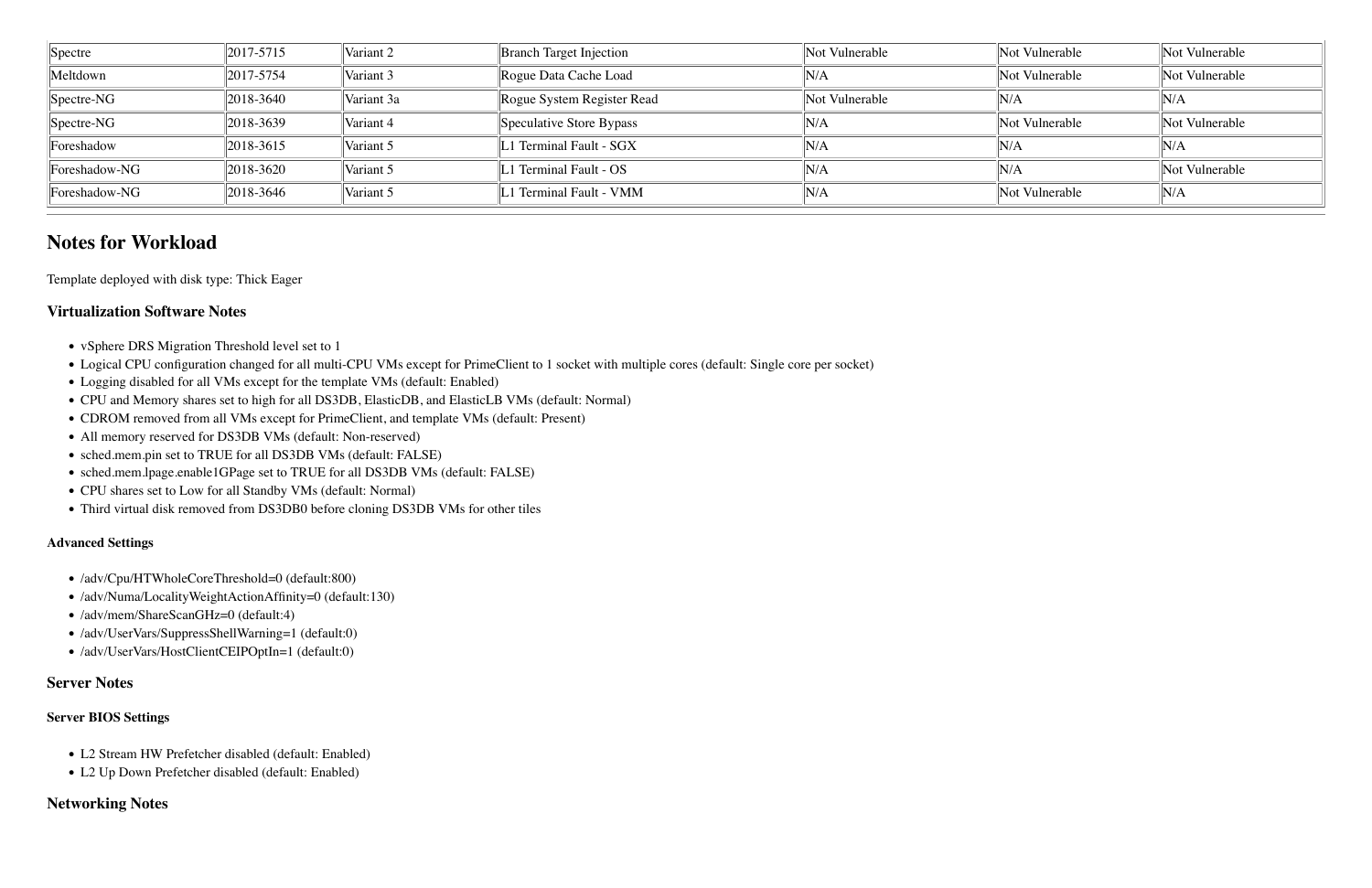| Spectre        | $ 2017 - 5715 $             | Variant 2  | <b>Branch Target Injection</b> | Not Vulnerable | Not Vulnerable | Not Vulnerable |
|----------------|-----------------------------|------------|--------------------------------|----------------|----------------|----------------|
| Meltdown       | 2017-5754                   | Variant 3  | Rogue Data Cache Load          | N/A            | Not Vulnerable | Not Vulnerable |
| $ Spectre-NG $ | 2018-3640                   | Variant 3a | Rogue System Register Read     | Not Vulnerable | N/A            | $\ N/A$        |
| $ Spectre-NG $ | 2018-3639                   | Variant 4  | Speculative Store Bypass       | N/A            | Not Vulnerable | Not Vulnerable |
| Foreshadow     | 2018-3615                   | Variant 5  | L1 Terminal Fault - SGX        | N/A            | N/A            | N/A            |
| Foreshadow-NG  | 2018-3620                   | Variant 5  | 1 Terminal Fault - OS          | 'N/A           | $\mathbb{N}/A$ | Not Vulnerable |
| Foreshadow-NG  | $\frac{12018 - 3646}{2018}$ | Variant 5  | L1 Terminal Fault - VMM        | 'N/A           | Not Vulnerable | $\mathbb{N}/A$ |

## **Notes for Workload**

Template deployed with disk type: Thick Eager

### **Virtualization Software Notes**

- vSphere DRS Migration Threshold level set to 1
- !"Logical CPU configuration changed for all multi-CPU VMs except for PrimeClient to 1 socket with multiple cores (default: Single core per socket)
- Logging disabled for all VMs except for the template VMs (default: Enabled)
- !"CPU and Memory shares set to high for all DS3DB, ElasticDB, and ElasticLB VMs (default: Normal)
- CDROM removed from all VMs except for PrimeClient, and template VMs (default: Present)
- All memory reserved for DS3DB VMs (default: Non-reserved)
- sched.mem.pin set to TRUE for all DS3DB VMs (default: FALSE)
- !"sched.mem.lpage.enable1GPage set to TRUE for all DS3DB VMs (default: FALSE)
- CPU shares set to Low for all Standby VMs (default: Normal)
- Third virtual disk removed from DS3DB0 before cloning DS3DB VMs for other tiles

#### **Advanced Settings**

- /adv/Cpu/HTWholeCoreThreshold=0 (default:800)
- /adv/Numa/LocalityWeightActionAffinity=0 (default:130)
- /adv/mem/ShareScanGHz=0 (default:4)
- !"/adv/UserVars/SuppressShellWarning=1 (default:0)
- /adv/UserVars/HostClientCEIPOptIn=1 (default:0)

#### **Server Notes**

#### **Server BIOS Settings**

- L2 Stream HW Prefetcher disabled (default: Enabled)
- L2 Up Down Prefetcher disabled (default: Enabled)

#### **Networking Notes**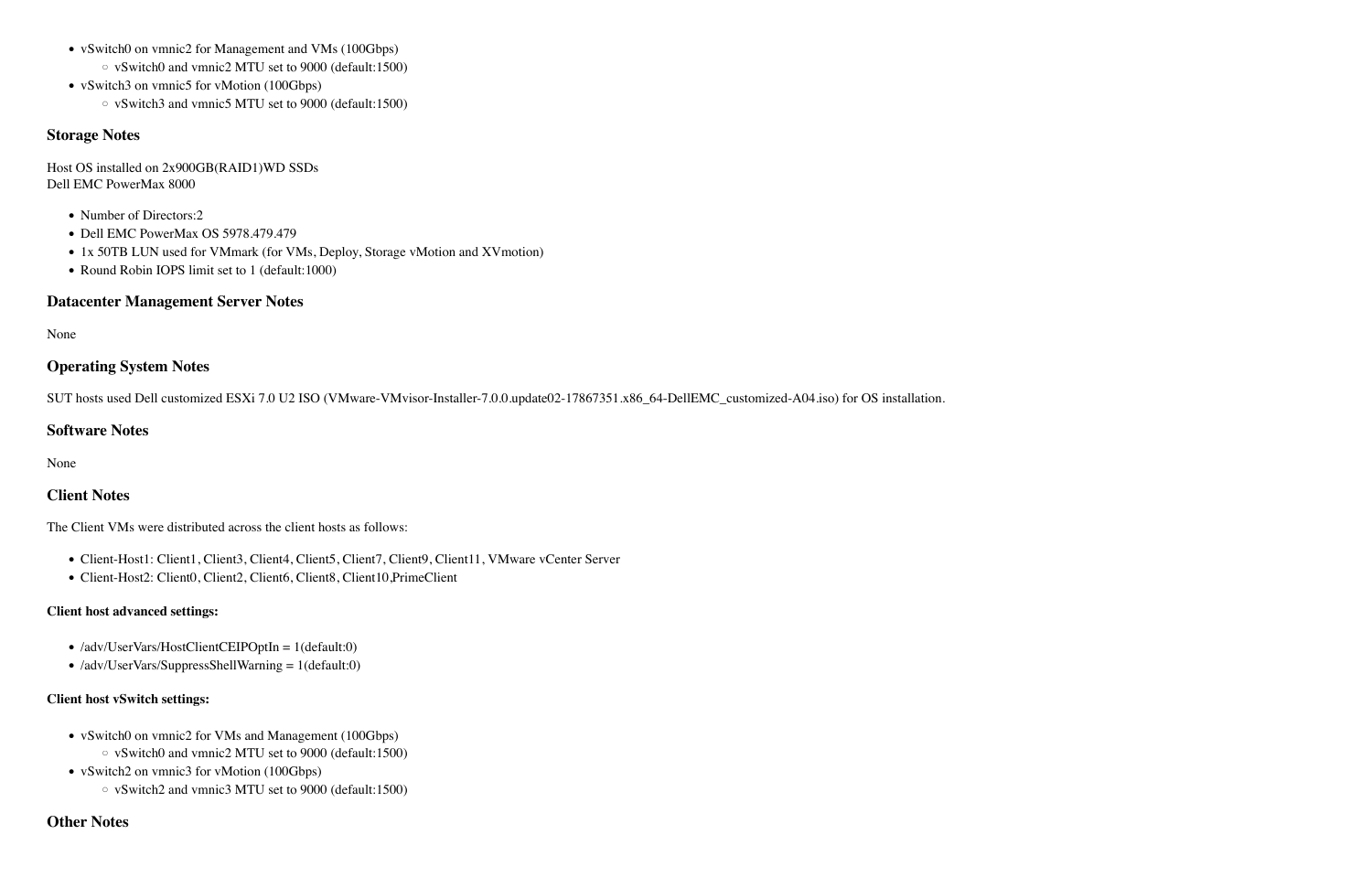- vSwitch0 on vmnic2 for Management and VMs (100Gbps)
	- $\circ$  vSwitch0 and vmnic2 MTU set to 9000 (default:1500)
- vSwitch3 on vmnic5 for vMotion (100Gbps)
	- $\circ$  vSwitch3 and vmnic5 MTU set to 9000 (default:1500)

#### **Storage Notes**

Host OS installed on 2x900GB(RAID1)WD SSDs Dell EMC PowerMax 8000

- Number of Directors:2
- Dell EMC PowerMax OS 5978.479.479
- 1x 50TB LUN used for VMmark (for VMs, Deploy, Storage vMotion and XVmotion)
- Round Robin IOPS limit set to 1 (default:1000)

#### **Datacenter Management Server Notes**

None

### **Operating System Notes**

SUT hosts used Dell customized ESXi 7.0 U2 ISO (VMware-VMvisor-Installer-7.0.0.update02-17867351.x86\_64-DellEMC\_customized-A04.iso) for OS installation.

#### **Software Notes**

None

#### **Client Notes**

The Client VMs were distributed across the client hosts as follows:

- Client-Host1: Client1, Client3, Client4, Client5, Client7, Client9, Client11, VMware vCenter Server
- Client-Host2: Client0, Client2, Client6, Client8, Client10, PrimeClient

#### **Client host advanced settings:**

- /adv/UserVars/HostClientCEIPOptIn = 1(default:0)
- $\bullet$  /adv/UserVars/SuppressShellWarning = 1(default:0)

#### **Client host vSwitch settings:**

- vSwitch0 on vmnic2 for VMs and Management (100Gbps)
	- $\circ$  vSwitch0 and vmnic2 MTU set to 9000 (default:1500)
- vSwitch2 on vmnic3 for vMotion (100Gbps)
	- $\circ$  vSwitch2 and vmnic3 MTU set to 9000 (default:1500)

#### **Other Notes**